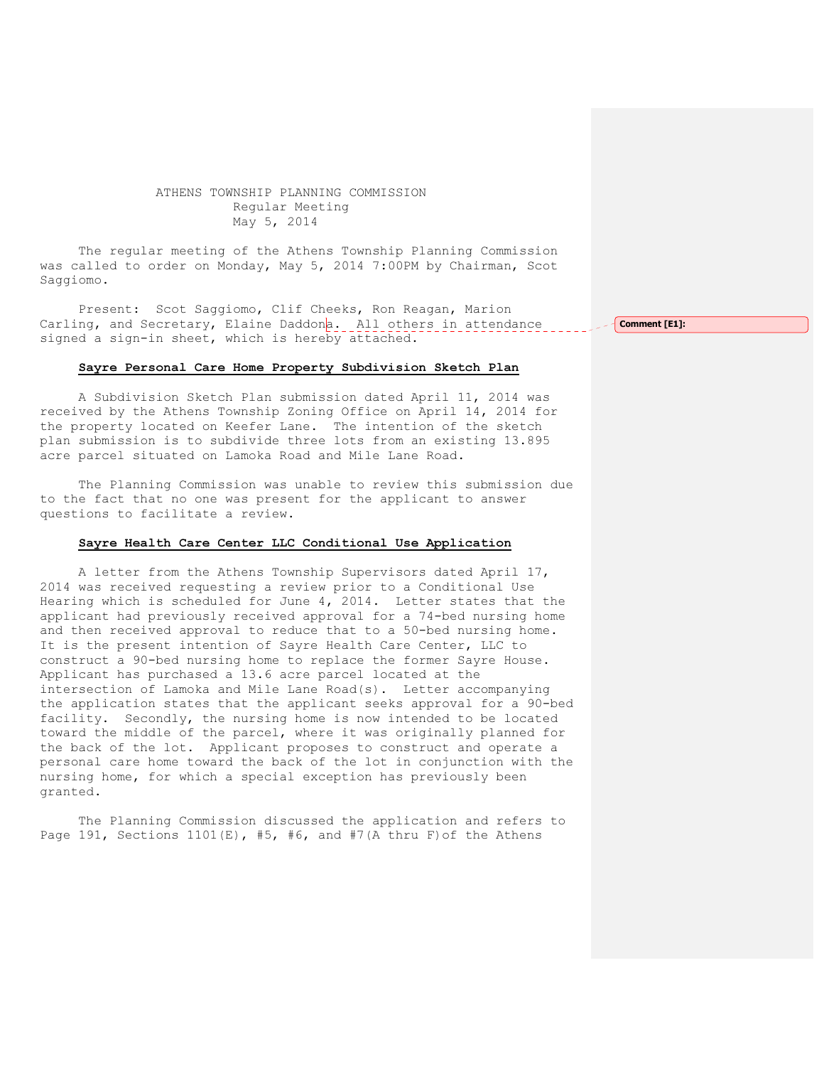## ATHENS TOWNSHIP PLANNING COMMISSION Regular Meeting May 5, 2014

The regular meeting of the Athens Township Planning Commission was called to order on Monday, May 5, 2014 7:00PM by Chairman, Scot Saggiomo.

Present: Scot Saggiomo, Clif Cheeks, Ron Reagan, Marion Carling, and Secretary, Elaine Daddona. All others in attendance signed a sign-in sheet, which is hereby attached.

## Sayre Personal Care Home Property Subdivision Sketch Plan

A Subdivision Sketch Plan submission dated April 11, 2014 was received by the Athens Township Zoning Office on April 14, 2014 for the property located on Keefer Lane. The intention of the sketch plan submission is to subdivide three lots from an existing 13.895 acre parcel situated on Lamoka Road and Mile Lane Road.

The Planning Commission was unable to review this submission due to the fact that no one was present for the applicant to answer questions to facilitate a review.

## Sayre Health Care Center LLC Conditional Use Application

A letter from the Athens Township Supervisors dated April 17, 2014 was received requesting a review prior to a Conditional Use Hearing which is scheduled for June 4, 2014. Letter states that the applicant had previously received approval for a 74-bed nursing home and then received approval to reduce that to a 50-bed nursing home. It is the present intention of Sayre Health Care Center, LLC to construct a 90-bed nursing home to replace the former Sayre House. Applicant has purchased a 13.6 acre parcel located at the intersection of Lamoka and Mile Lane Road(s). Letter accompanying the application states that the applicant seeks approval for a 90-bed facility. Secondly, the nursing home is now intended to be located toward the middle of the parcel, where it was originally planned for the back of the lot. Applicant proposes to construct and operate a personal care home toward the back of the lot in conjunction with the nursing home, for which a special exception has previously been granted.

The Planning Commission discussed the application and refers to Page 191, Sections 1101(E), #5, #6, and #7(A thru F)of the Athens

Comment [E1]: